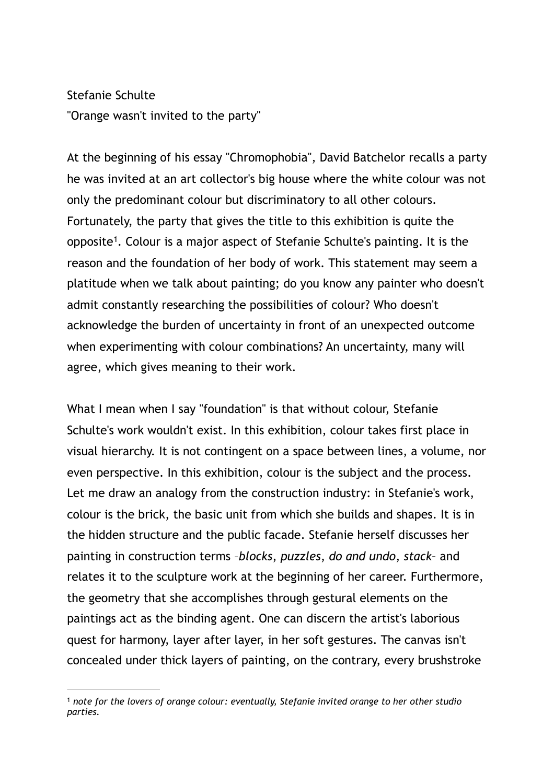## Stefanie Schulte "Orange wasn't invited to the party"

<span id="page-0-1"></span>At the beginning of his essay "Chromophobia", David Batchelor recalls a party he was invited at an art collector's big house where the white colour was not only the predominant colour but discriminatory to all other colours. Fortunately, the party that gives the title to this exhibition is quite the opposite<sup>[1](#page-0-0)</sup>. Colour is a major aspect of Stefanie Schulte's painting. It is the reason and the foundation of her body of work. This statement may seem a platitude when we talk about painting; do you know any painter who doesn't admit constantly researching the possibilities of colour? Who doesn't acknowledge the burden of uncertainty in front of an unexpected outcome when experimenting with colour combinations? An uncertainty, many will agree, which gives meaning to their work.

What I mean when I say "foundation" is that without colour, Stefanie Schulte's work wouldn't exist. In this exhibition, colour takes first place in visual hierarchy. It is not contingent on a space between lines, a volume, nor even perspective. In this exhibition, colour is the subject and the process. Let me draw an analogy from the construction industry: in Stefanie's work, colour is the brick, the basic unit from which she builds and shapes. It is in the hidden structure and the public facade. Stefanie herself discusses her painting in construction terms –*blocks*, *puzzles*, *do and undo*, *stack–* and relates it to the sculpture work at the beginning of her career. Furthermore, the geometry that she accomplishes through gestural elements on the paintings act as the binding agent. One can discern the artist's laborious quest for harmony, layer after layer, in her soft gestures. The canvas isn't concealed under thick layers of painting, on the contrary, every brushstroke

<span id="page-0-0"></span><sup>&</sup>lt;sup>[1](#page-0-1)</sup> note for the lovers of orange colour: eventually, Stefanie invited orange to her other studio *parties.*